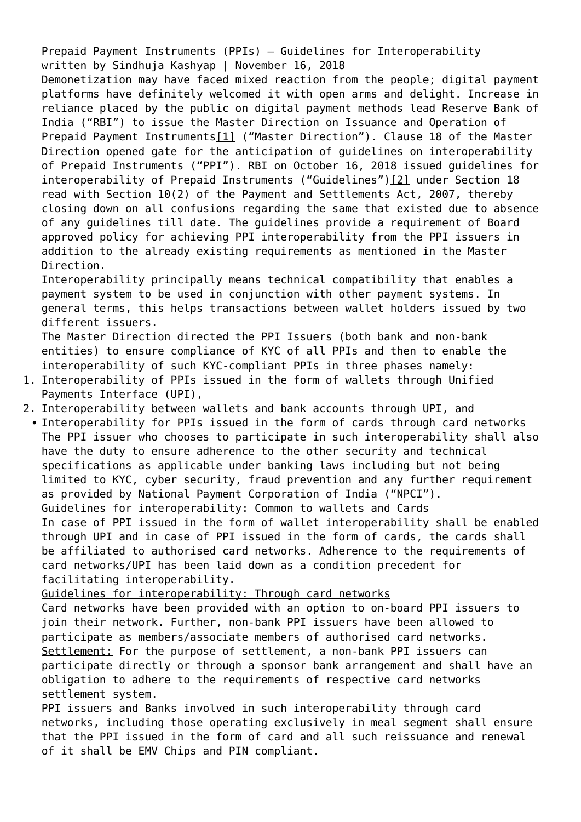[Prepaid Payment Instruments \(PPIs\) – Guidelines for Interoperability](https://ksandk.com/banking/ppis-guidelines-for-interoperability/)

<span id="page-0-0"></span>written by Sindhuja Kashyap | November 16, 2018 Demonetization may have faced mixed reaction from the people; digital payment platforms have definitely welcomed it with open arms and delight. Increase in reliance placed by the public on digital payment methods lead Reserve Bank of India ("RBI") to issue the Master Direction on Issuance and Operation of Prepaid Payment Instrument[s\[1\]](#page-1-0) ("Master Direction"). Clause 18 of the Master Direction opened gate for the anticipation of guidelines on interoperability of Prepaid Instruments ("PPI"). RBI on October 16, 2018 issued guidelines for interoperability of Prepaid Instruments ("Guidelines"[\)\[2\]](#page-1-1) under Section 18 read with Section 10(2) of the Payment and Settlements Act, 2007, thereby closing down on all confusions regarding the same that existed due to absence of any guidelines till date. The guidelines provide a requirement of Board approved policy for achieving PPI interoperability from the PPI issuers in addition to the already existing requirements as mentioned in the Master Direction.

<span id="page-0-1"></span>Interoperability principally means technical compatibility that enables a payment system to be used in conjunction with other payment systems. In general terms, this helps transactions between wallet holders issued by two different issuers.

The Master Direction directed the PPI Issuers (both bank and non-bank entities) to ensure compliance of KYC of all PPIs and then to enable the interoperability of such KYC-compliant PPIs in three phases namely:

- 1. Interoperability of PPIs issued in the form of wallets through Unified Payments Interface (UPI),
- 2. Interoperability between wallets and bank accounts through UPI, and

• Interoperability for PPIs issued in the form of cards through card networks The PPI issuer who chooses to participate in such interoperability shall also have the duty to ensure adherence to the other security and technical specifications as applicable under banking laws including but not being limited to KYC, cyber security, fraud prevention and any further requirement as provided by National Payment Corporation of India ("NPCI"). Guidelines for interoperability: Common to wallets and Cards

In case of PPI issued in the form of wallet interoperability shall be enabled through UPI and in case of PPI issued in the form of cards, the cards shall be affiliated to authorised card networks. Adherence to the requirements of card networks/UPI has been laid down as a condition precedent for facilitating interoperability.

Guidelines for interoperability: Through card networks

Card networks have been provided with an option to on-board PPI issuers to join their network. Further, non-bank PPI issuers have been allowed to participate as members/associate members of authorised card networks. Settlement: For the purpose of settlement, a non-bank PPI issuers can participate directly or through a sponsor bank arrangement and shall have an obligation to adhere to the requirements of respective card networks settlement system.

PPI issuers and Banks involved in such interoperability through card networks, including those operating exclusively in meal segment shall ensure that the PPI issued in the form of card and all such reissuance and renewal of it shall be EMV Chips and PIN compliant.